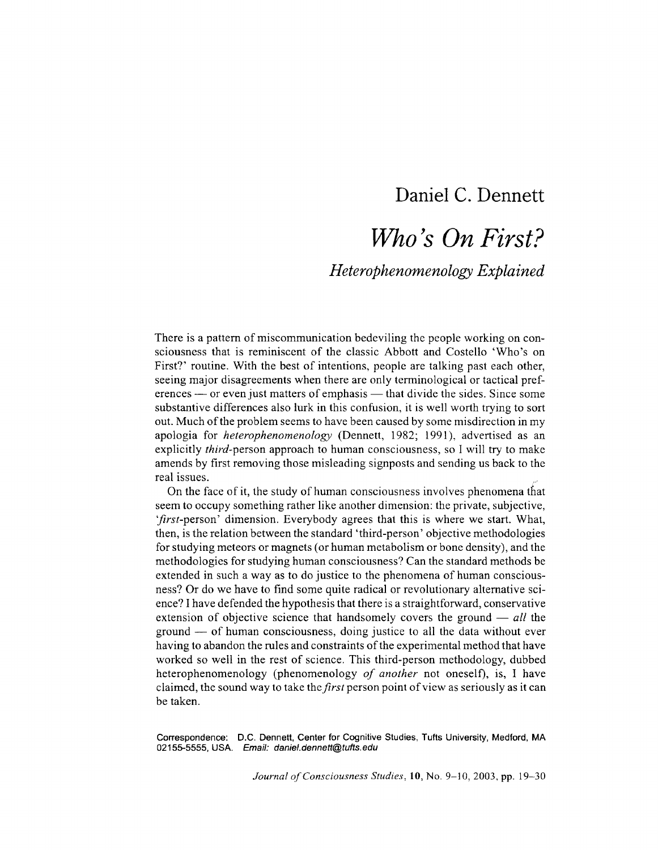# **Daniel C. Dennett** *Who's On First?*

# *Heterophenomenology Explained*

There is a pattern of miscommunication bedeviling the people working on consciousness that is reminiscent of the classic Abbott and Costello 'Who's on First?' routine. With the best of intentions, people are talking past each other, seeing major disagreements when there are only terminological or tactical preferences — or even just matters of emphasis — that divide the sides. Since some substantive differences also lurk in this confusion, it is well worth trying to sort out. Much of the problem seems to have been caused by some misdirection in my apologia for *heterophenomenology* (Dennett, 1982; 1991), advertised as an explicitly *third-person* approach to human consciousness, so I will try to make amends by first removing those misleading signposts and sending us back to the real issues.

On the face of it, the study of human consciousness involves phenomena that seem to occupy something rather like another dimension: the private, subjective, *jirst-person'* dimension. Everybody agrees that this is where we start. What, then, is the relation between the standard 'third-person' objective methodologies for studying meteors or magnets (or human metabolism or bone density), and the methodologies for studying human consciousness? Can the standard methods be extended in such a way as to do justice to the phenomena of human consciousness? Or do we have to find some quite radical or revolutionary alternative science? I have defended the hypothesis that there is a straightforward, conservative extension of objective science that handsomely covers the ground - *all* the  $ground - of human consciousness, doing justice to all the data without ever$ having to abandon the rules and constraints of the experimental method that have worked so well in the rest of science. This third-person methodology, dubbed heterophenomenology (phenomenology *of another* not oneself), is, I have claimed, the sound way to take the *first* person point of view as seriously as it can be taken.

Correspondence: D.C. Dennett, Center for Cognitive Studies, Tufts University, Medford, MA 02155-5555, USA. Email: daniel.dennett@tufts.edu

*Journal ofConsciousness Studies,* 10, No.9-I 0,2003, pp. *19-30*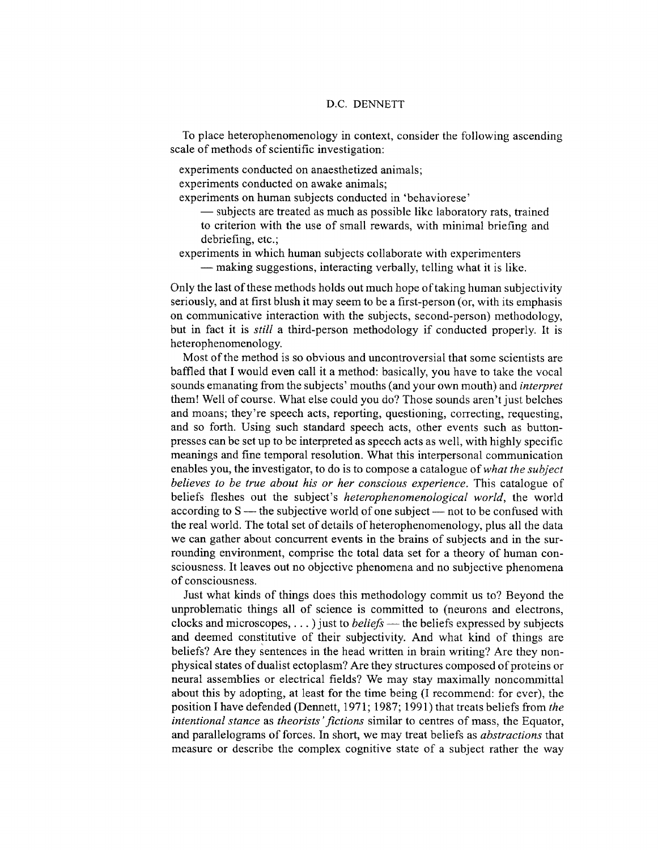To place heterophenomenology in context, consider the following ascending scale of methods of scientific investigation:

experiments conducted on anaesthetized animals;

experiments conducted on awake animals;

experiments on human subjects conducted in 'behaviorese'

- subjects are treated as much as possible like laboratory rats, trained to criterion with the use of small rewards, with minimal briefing and debriefing, etc.;

experiments in which human subjects collaborate with experimenters - making suggestions, interacting verbally, telling what it is like.

Only the last of these methods holds out much hope of taking human subjectivity seriously, and at first blush it may seem to be a first-person (or, with its emphasis on communicative interaction with the subjects, second-person) methodology, but in fact it is *still* a third-person methodology if conducted properly. It is heterophenomenology.

Most of the method is so obvious and uncontroversial that some scientists are baffled that I would even call it a method: basically, you have to take the vocal sounds emanating from the subjects' mouths (and your own mouth) and *interpret* them! Well of course. What else could you do? Those sounds aren't just belches and moans; they're speech acts, reporting, questioning, correcting, requesting, and so forth. Using such standard speech acts, other events such as buttonpresses can be set up to be interpreted as speech acts as well, with highly specific meanings and fine temporal resolution. What this interpersonal communication enables you, the investigator, to do is to compose a catalogue of*what the subject believes to be true about his or her conscious experience.* This catalogue of beliefs fleshes out the subject's *heterophenomenological world,* the world according to  $S$  — the subjective world of one subject — not to be confused with the real world. The total set of details of heterophenomenology, plus all the data we can gather about concurrent events in the brains of subjects and in the surrounding environment, comprise the total data set for a theory of human consciousness. It leaves out no objective phenomena and no subjective phenomena of consciousness.

Just what kinds of things does this methodology commit us to? Beyond the unproblematic things all of science is committed to (neurons and electrons, clocks and microscopes, ... ) just to *beliefs* - the beliefs expressed by subjects and deemed constitutive of their subjectivity. And what kind of things are beliefs? Are they sentences in the head written in brain writing? Are they nonphysical states of dualist ectoplasm? Are they structures composed of proteins or neural assemblies or electrical fields? We may stay maximally noncommittal about this by adopting, at least for the time being (I recommend: for ever), the position I have defended (Dennett, 1971; 1987; 1991) that treats beliefs from *the intentional stance* as *theorists' fictions* similar to centres of mass, the Equator, and parallelograms of forces. In short, we may treat beliefs as *abstractions* that measure or describe the complex cognitive state of a subject rather the way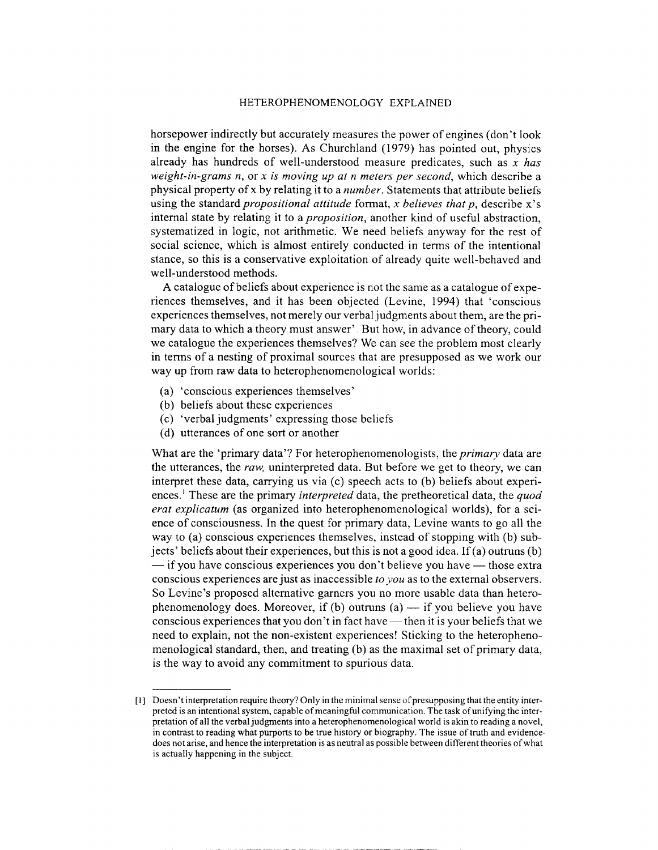horsepower indirectly but accurately measures the power of engines (don't look in the engine for the horses). As Churchland (1979) has pointed out, physics already has hundreds of well-understood measure predicates, such as *x has weight-in-grams n,* or *x* is *moving up at n meters per second,* which describe a physical property ofx by relating it to a *number.* Statements that attribute beliefs using the standard *propositional attitude* format, *x believes that p,* describe x's internal state by relating it to a *proposition,* another kind of useful abstraction, systematized in logic, not arithmetic. We need beliefs anyway for the rest of social science, which is almost entirely conducted in terms of the intentional stance, so this is a conservative exploitation of already quite well-behaved and well-understood methods.

A catalogue ofbeliefs about experience is not the same as a catalogue of experiences themselves, and it has been objected (Levine, 1994) that 'conscious experiences themselves, not merely our verbal judgments about them, are the primary data to which a theory must answer'. But how, in advance of theory, could we catalogue the experiences themselves? We can see the problem most clearly in terms of a nesting of proximal sources that are presupposed as we work our way up from raw data to heterophenomenological worlds:

- (a) 'conscious experiences themselves'
- (b) beliefs about these experiences
- (c) 'verbal judgments' expressing those beliefs
- (d) utterances of one sort or another

What are the 'primary data'? For heterophenomenologists, the *primary* data are the utterances, the *raw,* uninterpreted data. But before we get to theory, we can interpret these data, carrying us via (c) speech acts to (b) beliefs about experiences.' These are the primary *interpreted* data, the pretheoretical data, the *quod erat explicatum* (as organized into heterophenomenological worlds), for a science of consciousness. In the quest for primary data, Levine wants to go all the way to (a) conscious experiences themselves, instead of stopping with (b) subjects' beliefs about their experiences, but this is not a good idea. If (a) outruns (b)  $-$  if you have conscious experiences you don't believe you have  $-$  those extra conscious experiences are just as inaccessible *to you* as to the external observers. So Levine's proposed alternative garners you no more usable data than heterophenomenology does. Moreover, if (b) outruns (a)  $-$  if you believe you have conscious experiences that you don't in fact have  $-$  then it is your beliefs that we need to explain, not the non-existent experiences! Sticking to the heterophenomenological standard, then, and treating (b) as the maximal set of primary data, is the way to avoid any commitment to spurious data.

<sup>[1]</sup> Doesn't interpretation require theory? Only in the minimal sense ofpresupposing that the entity interpreted is an intentional system, capable of meaningful communication. The task of unifying the interpretation of all the verbal judgments into a heterophenomenological world is akin to reading a novel, in contrast to reading what purports to be true history or biography. The issue oftruth and evidencedoes not arise, and hence the interpretation is as neutral as possible between different theories of what is actually happening in the subject.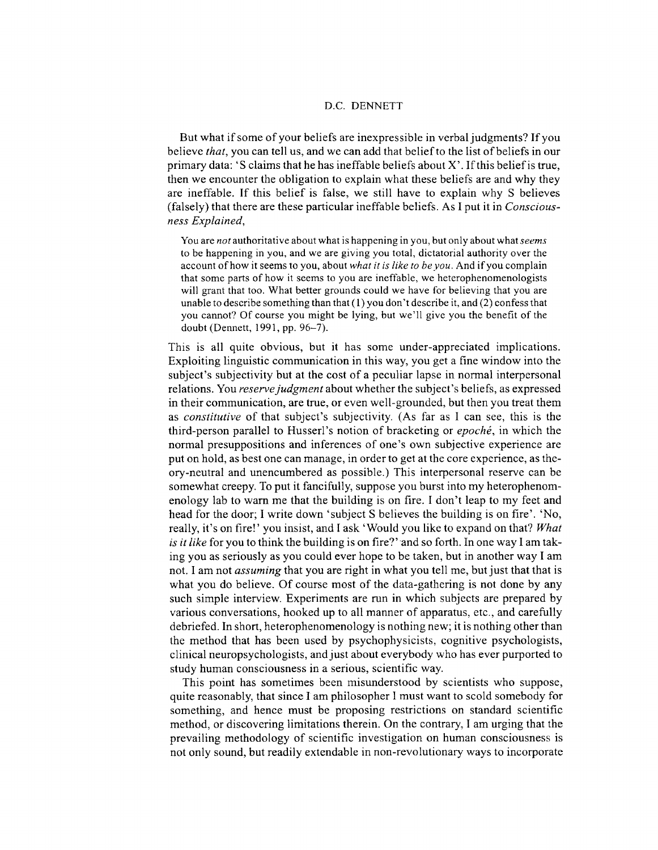But what ifsome of your beliefs are inexpressible in verbal judgments? **If** you believe *that*, you can tell us, and we can add that belief to the list of beliefs in our primary data: 'S claims that he has ineffable beliefs about  $X'$ . If this belief is true, then we encounter the obligation to explain what these beliefs are and why they are ineffable. If this belief is false, we still have to explain why S believes (falsely) that there are these particular ineffable beliefs. As I put it in *Consciousness Explained,*

You are *not* authoritative about what is happening in you, but only about what*seems* to be happening in you, and we are giving you total, dictatorial authority over the account of how it seems to you, about *what it* is *like to be you.* And if you complain that some parts of how it seems to you are ineffable, we heterophenomenologists will grant that too. What better grounds could we have for believing that you are unable to describe something than that (1) you don't describe it, and (2) confess that you cannot? Of course you might be lying, but we'll give you the benefit of the doubt (Dennett, 1991, pp. 96-7).

This is all quite obvious, but it has some under-appreciated implications. Exploiting linguistic communication in this way, you get a fine window into the subject's subjectivity but at the cost of a peculiar lapse in normal interpersonal relations. You *reservejudgment* about whether the subject's beliefs, as expressed in their communication, are true, or even well-grounded, but then you treat them as *constitutive* of that subject's subjectivity. (As far as I can see, this is the third-person parallel to Husserl's notion of bracketing or *epoche,* in which the normal presuppositions and inferences of one's own subjective experience are put on hold, as best one can manage, in order to get at the core experience, as theory-neutral and unencumbered as possible.) This interpersonal reserve can be somewhat creepy. To put it fancifully, suppose you burst into my heterophenomenology lab to warn me that the building is on fire. I don't leap to my feet and head for the door; I write down 'subject S believes the building is on fire'. 'No, really, it's on fire!' you insist, and I ask 'Would you like to expand on that? *What* is *it like* for you to think the building is on fire?'and so forth. **In**one way I am taking you as seriously as you could ever hope to be taken, but in another way I am not. I am not *assuming* that you are right in what you tell me, but just that that is what you do believe. Of course most of the data-gathering is not done by any such simple interview. Experiments are run in which subjects are prepared by various conversations, hooked up to all manner of apparatus, etc., and carefully debriefed. **In**short, heterophenomenology is nothing new; it is nothing other than the method that has been used by psychophysicists, cognitive psychologists, clinical neuropsychologists, and just about everybody who has ever purported to study human consciousness in a serious, scientific way.

This point has sometimes been misunderstood by scientists who suppose, quite reasonably, that since  $\Gamma$  am philosopher I must want to scold somebody for something, and hence must be proposing restrictions on standard scientific method, or discovering limitations therein. On the contrary, I am urging that the prevailing methodology of scientific investigation on human consciousness is not only sound, but readily extendable in non-revolutionary ways to incorporate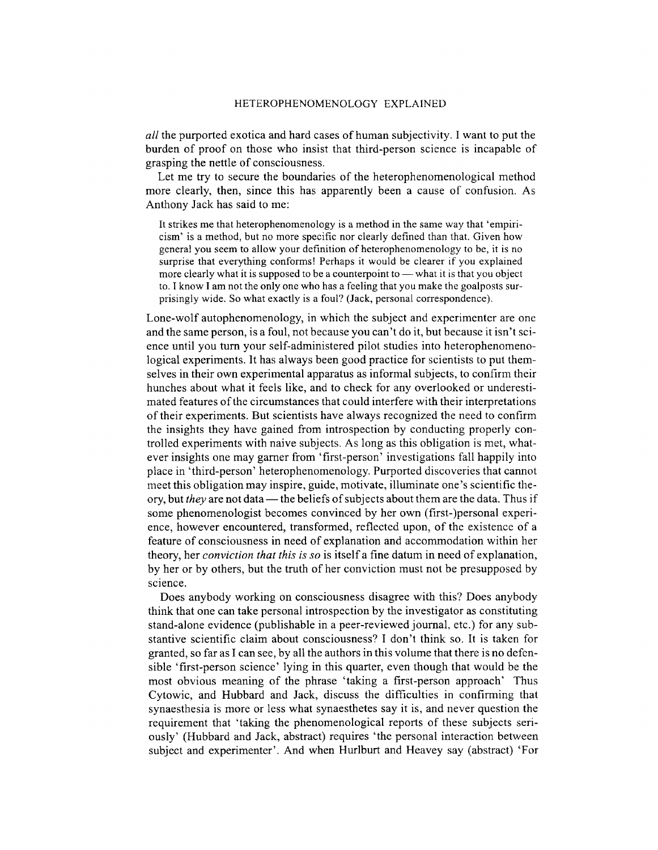*all* the purported exotica and hard cases of human subjectivity. I want to put the burden of proof on those who insist that third-person science is incapable of grasping the nettle of consciousness.

Let me try to secure the boundaries of the heterophenomenological method more clearly, then, since this has apparently been a cause of confusion. As Anthony Jack has said to me:

It strikes me that heterophenomenology is a method in the same way that 'empiricism' is a method, but no more specific nor clearly defined than that. Given how general you seem to allow your definition of heterophenomenology to be, it is no surprise that everything conforms! Perhaps it would be clearer if you explained more clearly what it is supposed to be a counterpoint to  $-$  what it is that you object to. I know I am not the only one who has a feeling that you make the goalposts surprisingly wide. So what exactly is a foul? (Jack, personal correspondence).

Lone-wolf autophenomenology, in which the subject and experimenter are one and the same person, is a foul, not because you can't do it, but because it isn't science until you turn your self-administered pilot studies into heterophenornenological experiments. It has always been good practice for scientists to put themselves in their own experimental apparatus as informal subjects, to confirm their hunches about what it feels like, and to check for any overlooked or underestimated features of the circumstances that could interfere with their interpretations of their experiments. But scientists have always recognized the need to confirm the insights they have gained from introspection by conducting properly controlled experiments with naive subjects. As long as this obligation is met, whatever insights one may garner from 'first-person' investigations fall happily into place in 'third-person' heterophenomenology. Purported discoveries that cannot meet this obligation may inspire, guide, motivate, illuminate one's scientific theory, but *they* are not data — the beliefs of subjects about them are the data. Thus if some phenomenologist becomes convinced by her own (first-)personal experience, however encountered, transformed, reflected upon, of the existence of a feature of consciousness in need of explanation and accommodation within her theory, her *conviction that this is so* is itself a fine datum in need of explanation, by her or by others, but the truth of her conviction must not be presupposed by science.

Does anybody working on consciousness disagree with this? Does anybody think that one can take personal introspection by the investigator as constituting stand-alone evidence (publishable in a peer-reviewed journal, etc.) for any substantive scientific claim about consciousness? I don't think so. It is taken for granted, so far as I can see, by all the authors in this volume that there is no defensible 'first-person science' lying in this quarter, even though that would be the most obvious meaning of the phrase 'taking a first-person approach' Thus Cytowic, and Hubbard and Jack, discuss the difficulties in confirming that synaesthesia is more or less what synaesthetes say it is, and never question the requirement that 'taking the phenomenological reports of these subjects seriously' (Hubbard and Jack, abstract) requires 'the personal interaction between subject and experimenter'. And when Hurlburt and Heavey say (abstract) 'For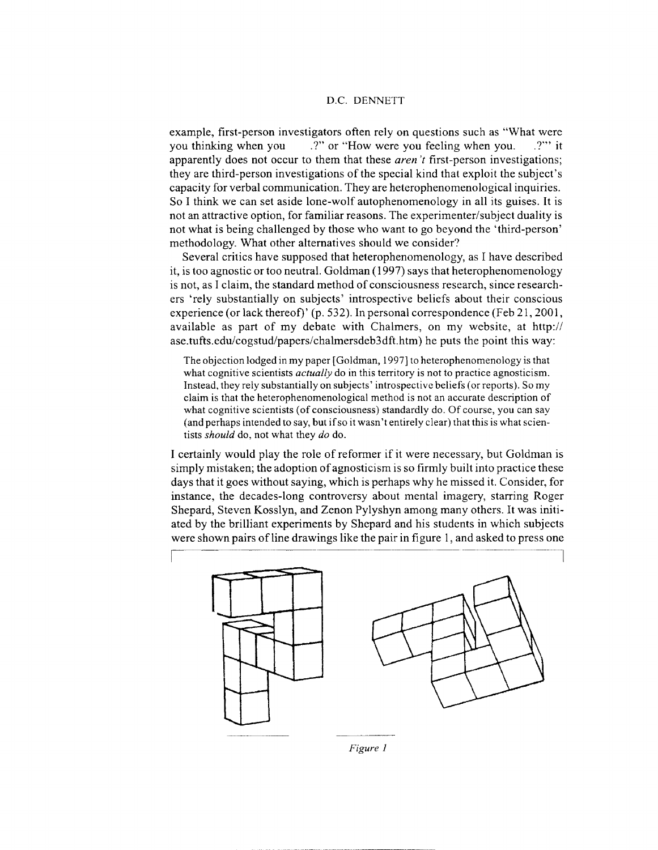example, first-person investigators often rely on questions such as "What were you thinking when you ...?" or "How were you feeling when you ....?" it apparently does not occur to them that these *aren't* first-person investigations; they are third-person investigations of the special kind that exploit the subject's capacity for verbal communication. They are heterophenomenological inquiries. So I think we can set aside lone-wolf autophenomenology in all its guises. It is not an attractive option, for familiar reasons. The experimenter/subject duality is not what is being challenged by those who want to go beyond the 'third-person' methodology. What other alternatives should we consider?

Several critics have supposed that heterophenomenology, as I have described it, is too agnostic or too neutral. Goldman (1997) says that heterophenomenology is not, as I claim, the standard method of consciousness research, since researchers 'rely substantially on subjects' introspective beliefs about their conscious experience (or lack thereof)' (p. 532). In personal correspondence (Feb 21, 2001, available as part of my debate with Chalmers, on my website, at http:// ase.tufts.edu/cogstud/papers/chalmersdeb3dft.htm) he puts the point this way:

The objection lodged in my paper [Goldman, 1997] to heterophenomenology is that what cognitive scientists *actually* do in this territory is not to practice agnosticism. Instead, they rely substantially on subjects' introspective beliefs (or reports). So my claim is that the heterophenomenological method is not an accurate description of what cognitive scientists (of consciousness) standardly do. Of course, you can say (and perhaps intended to say, but ifso it wasn't entirely clear) that this is what scientists *should* do, not what they *do* do.

I certainly would play the role of reformer if it were necessary, but Goldman is simply mistaken; the adoption of agnosticism is so firmly built into practice these days that it goes without saying, which is perhaps why he missed it. Consider, for instance, the decades-long controversy about mental imagery, starring Roger Shepard, Steven Kosslyn, and Zenon Pylyshyn among many others. It was initiated by the brilliant experiments by Shepard and his students in which subjects were shown pairs of line drawings like the pair in figure 1, and asked to press one



*Figure I*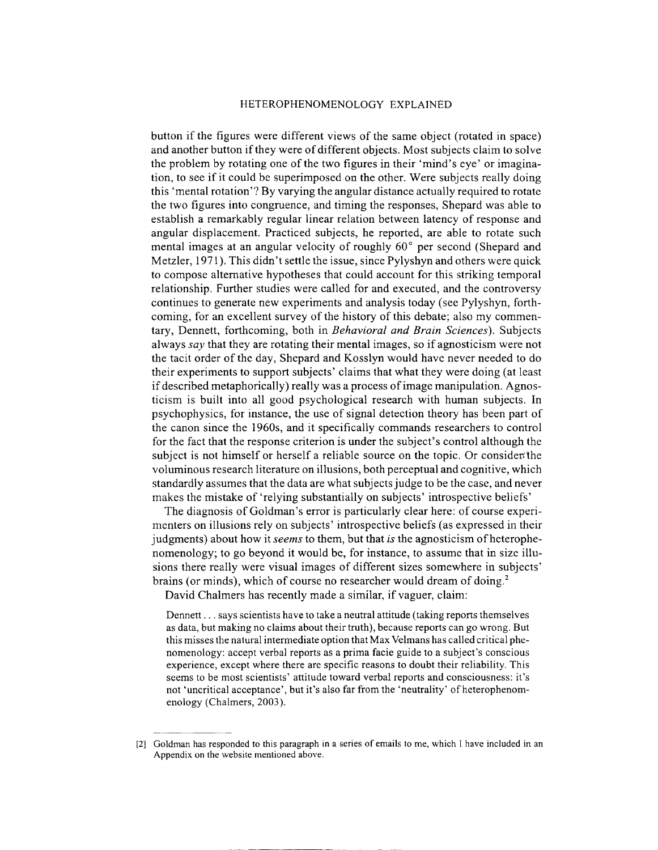button if the figures were different views of the same object (rotated in space) and another button if they were of different objects. Most subjects claim to solve the problem by rotating one of the two figures in their 'mind's eye' or imagination, to see if it could be superimposed on the other. Were subjects really doing this 'mental rotation'? By varying the angular distance actually required to rotate the two figures into congruence, and timing the responses, Shepard was able to establish a remarkably regular linear relation between latency of response and angular displacement. Practiced subjects, he reported, are able to rotate such mental images at an angular velocity of roughly 60° per second (Shepard and Metzler, 1971). This didn't settle the issue, since Pylyshyn and others were quick to compose alternative hypotheses that could account for this striking temporal relationship. Further studies were called for and executed, and the controversy continues to generate new experiments and analysis today (see Pylyshyn, forthcoming, for an excellent survey of the history of this debate; also my commentary, Dennett, forthcoming, both in *Behavioral and Brain Sciences).* Subjects always *say* that they are rotating their mental images, so if agnosticism were not the tacit order of the day, Shepard and Kosslyn would have never needed to do their experiments to support subjects' claims that what they were doing (at least if described metaphorically) really was a process ofimage manipulation. Agnosticism is built into all good psychological research with human subjects. **In** psychophysics, for instance, the use of signal detection theory has been part of the canon since the 1960s, and it specifically commands researchers to control for the fact that the response criterion is under the subject's control although the subject is not himself or herself a reliable source on the topic. Or consider the voluminous research literature on illusions, both perceptual and cognitive, which standardly assumes that the data are what subjects judge to be the case, and never makes the mistake of 'relying substantially on subjects' introspective beliefs'

The diagnosis of Goldman's error is particularly clear here: of course experimenters on illusions rely on subjects' introspective beliefs (as expressed in their judgments) about how it *seems* to them, but that *is* the agnosticism of heterophenomenology; to go beyond it would be, for instance, to assume that in size illusions there really were visual images of different sizes somewhere in subjects' brains (or minds), which of course no researcher would dream of doing.'

David Chalmers has recently made a similar, if vaguer, claim:

Dennett ... says scientists have to take a neutral attitude (taking reports themselves as data, but making no claims about their truth), because reports can go wrong. But this misses the natural intermediate option that Max Velmans has called critical phenomenology: accept verbal reports as a prima facie guide to a subject's conscious experience, except where there are specific reasons to doubt their reliability. This seems to be most scientists' attitude toward verbal reports and consciousness: it's not 'uncritical acceptance', but it's also far from the 'neutrality' of heterophenornenology (Chalmers, 2003).

<sup>[2]</sup> Goldman has responded to this paragraph in a series of emails to me, which I have included in an Appendix on the website mentioned above.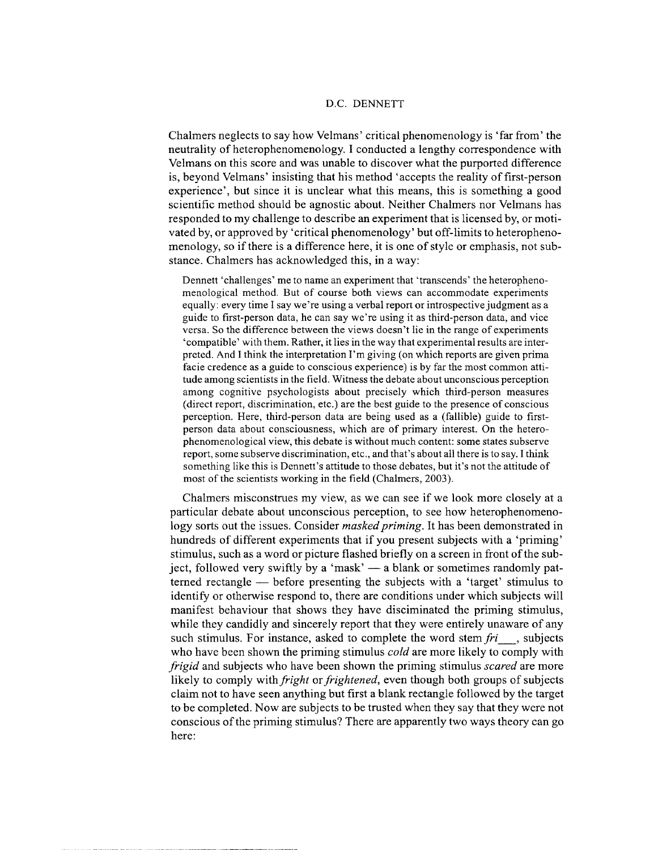Chalmers neglects to say how Velmans' critical phenomenology is 'far from' the neutrality of heterophenomenology. I conducted a lengthy correspondence with Velmans on this score and was unable to discover what the purported difference is, beyond Velmans' insisting that his method 'accepts the reality of first-person experience', but since it is unclear what this means, this is something a good scientific method should be agnostic about. Neither Chalmers nor Velmans has responded to my challenge to describe an experiment that is licensed by, or motivated by, or approved by 'critical phenomenology' but off-limits to heterophenomenology, so if there is a difference here, it is one of style or emphasis, not substance. Chalmers has acknowledged this, in a way:

Dennett 'challenges' me to name an experiment that 'transcends' the heterophenomenological method. But of course both views can accommodate experiments equally: every time I say we're using a verbal report or introspective judgment as a guide to first-person data, he can say we're using it as third-person data, and vice versa. So the difference between the views doesn't lie in the range of experiments 'compatible' with them. Rather, it lies in the way that experimental results are interpreted. And I think the interpretation I'm giving (on which reports are given prima facie credence as a guide to conscious experience) is by far the most common attitude among scientists in the field. Witness the debate about unconscious perception among cognitive psychologists about precisely which third-person measures (direct report, discrimination, etc.) are the best guide to the presence of conscious perception. Here, third-person data are being used as a (fallible) guide to firstperson data about consciousness, which are of primary interest. On the heterophenomenological view, this debate is without much content: some states subserve report, some sub serve discrimination, etc., and that's about all there is to say. I think something like this is Dennett's attitude to those debates, but it's not the attitude of most of the scientists working in the field (Chalmers, 2003).

Chalmers misconstrues my view, as we can see if we look more closely at a particular debate about unconscious perception, to see how heterophenomenology sorts out the issues. Consider *masked priming.* It has been demonstrated in hundreds of different experiments that if you present subjects with a 'priming' stimulus, such as a word or picture flashed briefly on a screen in front of the subject, followed very swiftly by a 'mask'  $-$  a blank or sometimes randomly patterned rectangle — before presenting the subjects with a 'target' stimulus to identify or otherwise respond to, there are conditions under which subjects will manifest behaviour that shows they have disciminated the priming stimulus, while they candidly and sincerely report that they were entirely unaware of any such stimulus. For instance, asked to complete the word *stemfri\_,* subjects who have been shown the priming stimulus *cold* are more likely to comply with *frigid* and subjects who have been shown the priming stimulus *scared* are more likely to comply with *fright* or *frightened,* even though both groups of subjects claim not to have seen anything but first a blank rectangle followed by the target to be completed. Now are subjects to be trusted when they say that they were not conscious of the priming stimulus? There are apparently two ways theory can go here: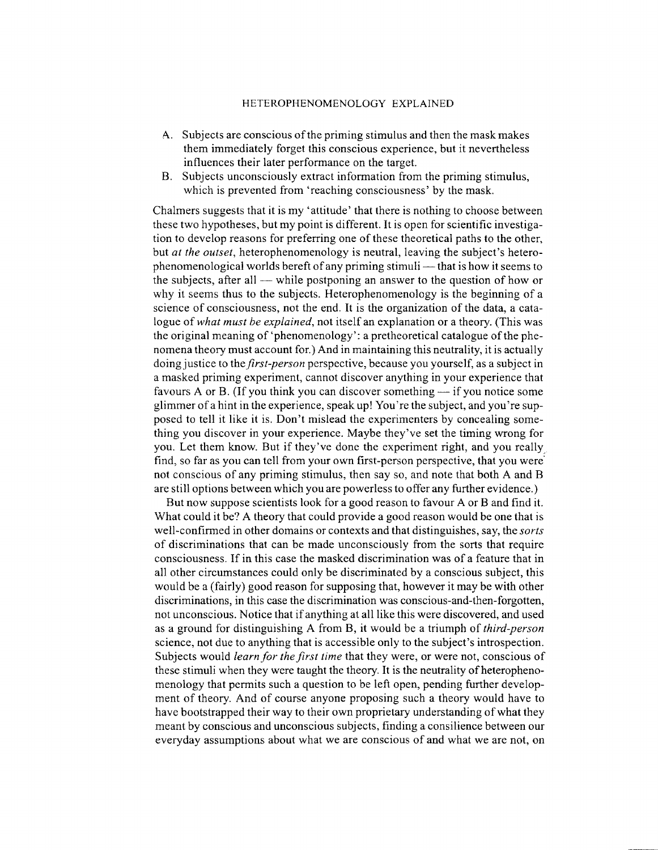- A. Subjects are conscious of the priming stimulus and then the mask makes them immediately forget this conscious experience, but it nevertheless influences their later performance on the target.
- B. Subjects unconsciously extract information from the priming stimulus, which is prevented from 'reaching consciousness' by the mask.

Chalmers suggests that it is my 'attitude' that there is nothing to choose between these two hypotheses, but my point is different. It is open for scientific investigation to develop reasons for preferring one of these theoretical paths to the other, but *at the outset,* heterophenomenology is neutral, leaving the subject's heterophenomenological worlds bereft of any priming stimuli  $-$  that is how it seems to the subjects, after all — while postponing an answer to the question of how or why it seems thus to the subjects. Heterophenomenology is the beginning of a science of consciousness, not the end. It is the organization of the data, a catalogue of *what must be explained,* not itself an explanation or a theory. (This was the original meaning of 'phenomenology': a pretheoretical catalogue of the phenomena theory must account for.) And in maintaining this neutrality, it is actually doing justice to the *first-person* perspective, because you yourself, as a subject in a masked priming experiment, cannot discover anything in your experience that favours A or B. (If you think you can discover something  $-$  if you notice some glimmer ofa hint in the experience, speak up! You're the subject, and you're supposed to tell it like it is. Don't mislead the experimenters by concealing something you discover in your experience. Maybe they've set the timing wrong for you. Let them know. But if they've done the experiment right, and you really, find, so far as you can tell from your own first-person perspective, that you were' not conscious of any priming stimulus, then say so, and note that both A and B are still options between which you are powerless to offer any further evidence.)

But now suppose scientists look for a good reason to favour A or B and find it. What could it be? A theory that could provide a good reason would be one that is well-confirmed in other domains or contexts and that distinguishes, say, the *sorts* of discriminations that can be made unconsciously from the sorts that require consciousness, If in this case the masked discrimination was of a feature that in all other circumstances could only be discriminated by a conscious subject, this would be a (fairly) good reason for supposing that, however it may be with other discriminations, in this case the discrimination was conscious-and-then-forgotten, not unconscious. Notice that ifanything at all like this were discovered, and used as a ground for distinguishing A from B, it would be a triumph of *third-person* science, not due to anything that is accessible only to the subject's introspection. Subjects would *learn for the jirst time* that they were, or were not, conscious of these stimuli when they were taught the theory. It is the neutrality of heterophenomenology that permits such a question to be left open, pending further development of theory. And of course anyone proposing such a theory would have to have bootstrapped their way to their own proprietary understanding of what they meant by conscious and unconscious subjects, finding a consilience between our everyday assumptions about what we are conscious of and what we are not, on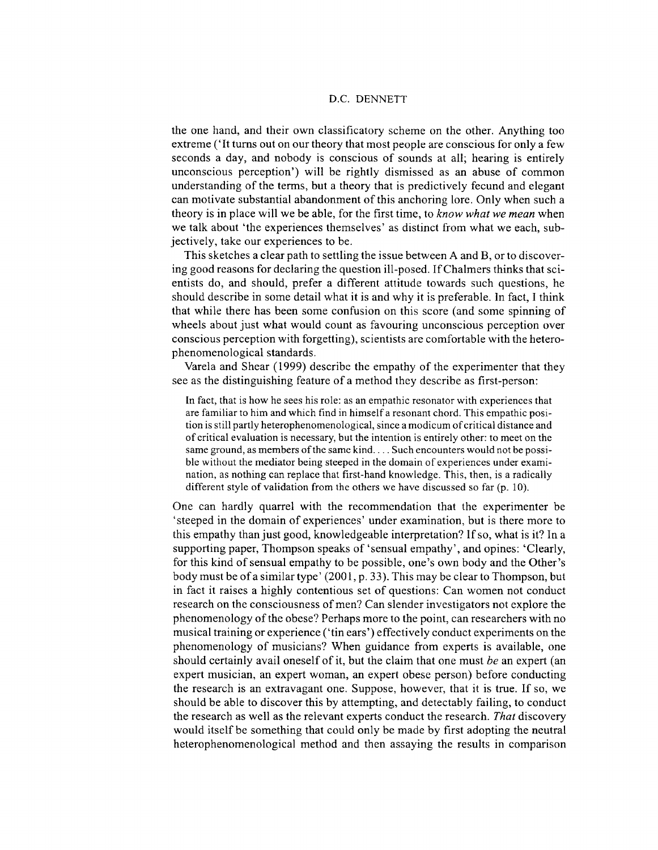the one hand, and their own classificatory scheme on the other. Anything too extreme ('It turns out on our theory that most people are conscious for only a few seconds a day, and nobody is conscious of sounds at all; hearing is entirely unconscious perception') will be rightly dismissed as an abuse of common understanding of the terms, but a theory that is predictively fecund and elegant can motivate substantial abandonment of this anchoring lore. Only when such a theory is in place will we be able, for the first time, to *know what we mean* when we talk about 'the experiences themselves' as distinct from what we each, subjectively, take our experiences to be.

This sketches a clear path to settling the issue between A and B, or to discovering good reasons for declaring the question ill-posed. IfChalmers thinks that scientists do, and should, prefer a different attitude towards such questions, he should describe in some detail what it is and why it is preferable. In fact, I think that while there has been some confusion on this score (and some spinning of wheels about just what would count as favouring unconscious perception over conscious perception with forgetting), scientists are comfortable with the heterophenomenological standards.

Varela and Shear (1999) describe the empathy of the experimenter that they see as the distinguishing feature of a method they describe as first-person:

**In** fact, that is how he sees his role: as an empathic resonator with experiences that are familiar to him and which find in himself a resonant chord. This empathic position is still partly heterophenomenological, since a modicum of critical distance and of critical evaluation is necessary, but the intention is entirely other: to meet on the same ground, as members of the same kind. . . . Such encounters would not be possible without the mediator being steeped in the domain of experiences under examination, as nothing can replace that first-hand knowledge. This, then, is a radically different style of validation from the others we have discussed so far (p. 10).

One can hardly quarrel with the recommendation that the experimenter be 'steeped in the domain of experiences' under examination, but is there more to this empathy than just good, knowledgeable interpretation? If so, what is it? In a supporting paper, Thompson speaks of 'sensual empathy', and opines: 'Clearly, for this kind of sensual empathy to be possible, one's own body and the Other's body must be ofa similar type' (2001, p. 33). This may be clear to Thompson, but in fact it raises a highly contentious set of questions: Can women not conduct research on the consciousness of men? Can slender investigators not explore the phenomenology ofthe obese? Perhaps more to the point, can researchers with no musical training or experience ('tin ears') effectively conduct experiments on the phenomenology of musicians? When guidance from experts is available, one should certainly avail oneself of it, but the claim that one must *be* an expert (an expert musician, an expert woman, an expert obese person) before conducting the research is an extravagant one. Suppose, however, that it is true. If so, we should be able to discover this by attempting, and detectably failing, to conduct the research as well as the relevant experts conduct the research. *That* discovery would itself be something that could only be made by first adopting the neutral heterophenomenological method and then assaying the results in comparison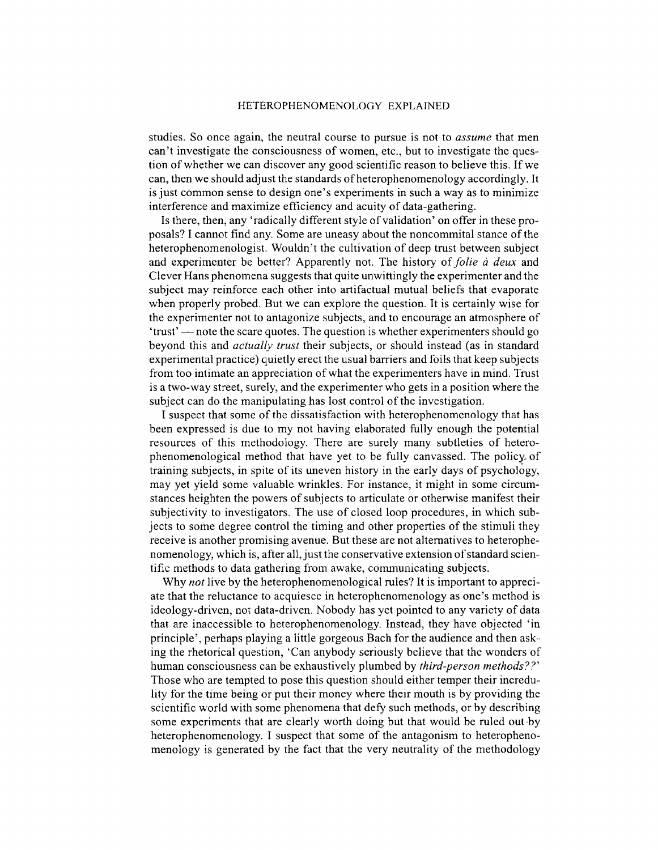studies. So once again, the neutral course to pursue is not to *assume* that men can't investigate the consciousness of women, etc., but to investigate the question of whether we can discover any good scientific reason to believe this. If we can, then we should adjust the standards ofheterophenomenology accordingly. It is just common sense to design one's experiments in such a way as to minimize interference and maximize efficiency and acuity of data-gathering.

Is there, then, any 'radically different style of validation' on offer in these proposals? I cannot find any. Some are uneasy about the noncommital stance of the heterophenomenologist. Wouldn't the cultivation of deep trust between subject and experimenter be better? Apparently not. The history of *folie à deux* and Clever Hans phenomena suggests that quite unwittingly the experimenter and the subject may reinforce each other into artifactual mutual beliefs that evaporate when properly probed. But we can explore the question. It is certainly wise for the experimenter not to antagonize subjects, and to encourage an atmosphere of  $'$ trust'  $-$  note the scare quotes. The question is whether experimenters should go beyond this and *actually trust* their subjects, or should instead (as in standard experimental practice) quietly erect the usual barriers and foils that keep subjects from too intimate an appreciation of what the experimenters have in mind. Trust is a two-way street, surely, and the experimenter who gets in a position where the subject can do the manipulating has lost control of the investigation.

I suspect that some of the dissatisfaction with heterophenomenology that has been expressed is due to my not having elaborated fully enough the potential resources of this methodology. There are surely many subtleties of heterophenomenological method that have yet to be fully canvassed. The policy, of training subjects, in spite of its uneven history in the early days of psychology, may yet yield some valuable wrinkles. For instance, it might in some circumstances heighten the powers of subjects to articulate or otherwise manifest their subjectivity to investigators. The use of closed loop procedures, in which subjects to some degree control the timing and other properties of the stimuli they receive is another promising avenue. But these are not alternatives to heterophenomenology, which is, after all, just the conservative extension of standard scientific methods to data gathering from awake, communicating subjects.

Why *not* live by the heterophenomenological rules? It is important to appreciate that the reluctance to acquiesce in heterophenomenology as one's method is ideology-driven, not data-driven. Nobody has yet pointed to any variety of data that are inaccessible to heterophenomenology. Instead, they have objected 'in principle', perhaps playing a little gorgeous Bach for the audience and then asking the rhetorical question, 'Can anybody seriously believe that the wonders of human consciousness can be exhaustively plumbed by *third-person methods??'* Those who are tempted to pose this question should either temper their incredulity for the time being or put their money where their mouth is by providing the scientific world with some phenomena that defy such methods, or by describing some experiments that are clearly worth doing but that would be ruled out 'by heterophenomenology. I suspect that some of the antagonism to heterophenomenology is generated by the fact that the very neutrality of the methodology